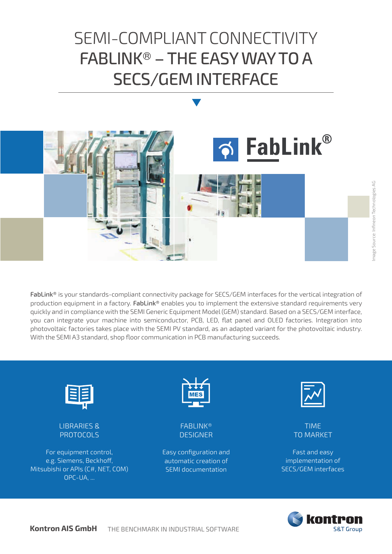# SEMI-COMPLIANT CONNECTIVITY FABLINK® – THE EASY WAY TO A SECS/GEM INTERFACE



FabLink® is your standards-compliant connectivity package for SECS/GEM interfaces for the vertical integration of production equipment in a factory. FabLink® enables you to implement the extensive standard requirements very quickly and in compliance with the SEMI Generic Equipment Model (GEM) standard. Based on a SECS/GEM interface, you can integrate your machine into semiconductor, PCB, LED, flat panel and OLED factories. Integration into photovoltaic factories takes place with the SEMI PV standard, as an adapted variant for the photovoltaic industry. With the SEMI A3 standard, shop floor communication in PCB manufacturing succeeds.



LIBRARIES & PROTOCOLS

For equipment control, e.g. Siemens, Beckhoff, Mitsubishi or APIs (C#, NET, COM) OPC-UA, ...



FABLINK® DESIGNER

Easy configuration and automatic creation of SEMI documentation



TIME TO MARKET

Fast and easy implementation of SECS/GEM interfaces

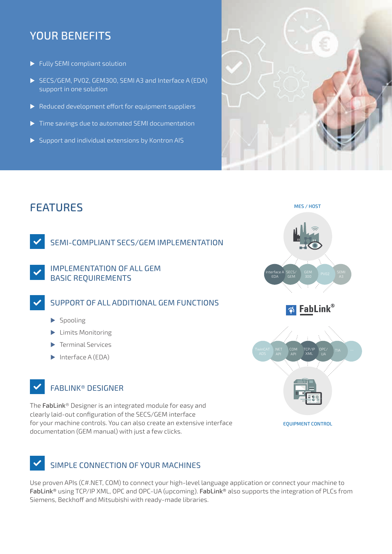### YOUR BENEFITS

- $\blacktriangleright$  Fully SEMI compliant solution
- SECS/GEM, PV02, GEM300, SEMI A3 and Interface A (EDA) support in one solution
- $\blacktriangleright$  Reduced development effort for equipment suppliers
- $\triangleright$  Time savings due to automated SEMI documentation
- $\triangleright$  Support and individual extensions by Kontron AIS



### FEATURES

SEMI-COMPLIANT SECS/GEM IMPLEMENTATION

IMPLEMENTATION OF ALL GEM BASIC REQUIREMENTS

SUPPORT OF ALL ADDITIONAL GEM FUNCTIONS

- $\blacktriangleright$  Spooling
- $\blacktriangleright$  Limits Monitoring
- $\blacktriangleright$  Terminal Services
- $\blacktriangleright$  Interface A (EDA)

### FABLINK® DESIGNER

The FabLink® Designer is an integrated module for easy and clearly laid-out configuration of the SECS/GEM interface for your machine controls. You can also create an extensive interface documentation (GEM manual) with just a few clicks.

### SIMPLE CONNECTION OF YOUR MACHINES

Use proven APIs (C#.NET, COM) to connect your high-level language application or connect your machine to FabLink® using TCP/IP XML, OPC and OPC-UA (upcoming). FabLink® also supports the integration of PLCs from Siemens, Beckhoff and Mitsubishi with ready-made libraries.





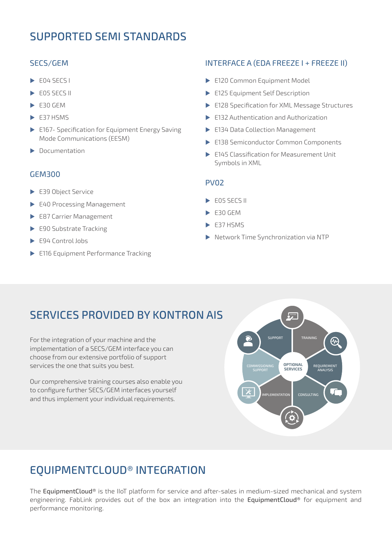### SUPPORTED SEMI STANDARDS

#### SECS/GEM

- $E04$  SECS I
- $FOS$  SECS II
- $\blacktriangleright$  E30 GEM
- $\blacktriangleright$  E37 HSMS
- $\triangleright$  E167- Specification for Equipment Energy Saving Mode Communications (EESM)
- $\blacktriangleright$  Documentation

#### GEM300

- E39 Object Service
- E40 Processing Management
- E87 Carrier Management
- $\blacktriangleright$  E90 Substrate Tracking
- $\blacktriangleright$  F94 Control Jobs
- E116 Equipment Performance Tracking

### INTERFACE A (EDA FREEZE I + FREEZE II)

- E120 Common Equipment Model
- E125 Equipment Self Description
- E128 Specification for XML Message Structures
- $\blacktriangleright$  E132 Authentication and Authorization
- ▶ E134 Data Collection Management
- E138 Semiconductor Common Components
- ▶ E145 Classification for Measurement Unit Symbols in XML

#### PV0<sub>2</sub>

- $\triangleright$  FOS SECS II
- $\blacktriangleright$  E30 GEM
- $\blacktriangleright$  E37 HSMS
- **Network Time Synchronization via NTP**

### SERVICES PROVIDED BY KONTRON AIS

For the integration of your machine and the implementation of a SECS/GEM interface you can choose from our extensive portfolio of support services the one that suits you best.

Our comprehensive training courses also enable you to configure further SECS/GEM interfaces yourself and thus implement your individual requirements.



## EQUIPMENTCLOUD® INTEGRATION

The EquipmentCloud® is the IIoT platform for service and after-sales in medium-sized mechanical and system engineering. FabLink provides out of the box an integration into the EquipmentCloud® for equipment and performance monitoring.